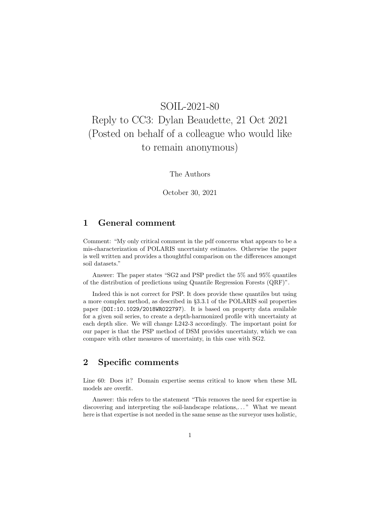## SOIL-2021-80 Reply to CC3: Dylan Beaudette, 21 Oct 2021 (Posted on behalf of a colleague who would like to remain anonymous)

The Authors

October 30, 2021

## 1 General comment

Comment: "My only critical comment in the pdf concerns what appears to be a mis-characterization of POLARIS uncertainty estimates. Otherwise the paper is well written and provides a thoughtful comparison on the differences amongst soil datasets."

Answer: The paper states "SG2 and PSP predict the 5% and 95% quantiles of the distribution of predictions using Quantile Regression Forests (QRF)".

Indeed this is not correct for PSP. It does provide these quantiles but using a more complex method, as described in §3.3.1 of the POLARIS soil properties paper (DOI:10.1029/2018WR022797). It is based on property data available for a given soil series, to create a depth-harmonized profile with uncertainty at each depth slice. We will change L242-3 accordingly. The important point for our paper is that the PSP method of DSM provides uncertainty, which we can compare with other measures of uncertainty, in this case with SG2.

## 2 Specific comments

Line 60: Does it? Domain expertise seems critical to know when these ML models are overfit.

Answer: this refers to the statement "This removes the need for expertise in discovering and interpreting the soil-landscape relations,..." What we meant here is that expertise is not needed in the same sense as the surveyor uses holistic,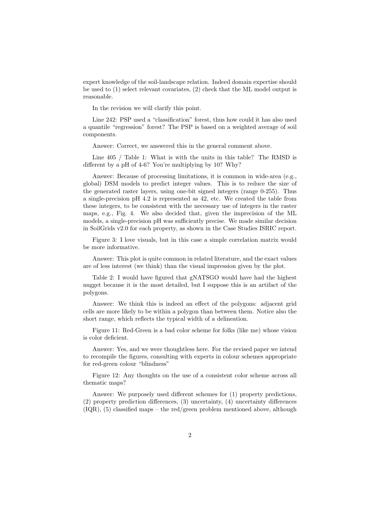expert knowledge of the soil-landscape relation. Indeed domain expertise should be used to (1) select relevant covariates, (2) check that the ML model output is reasonable.

In the revision we will clarify this point.

Line 242: PSP used a "classification" forest, thus how could it has also used a quantile "regression" forest? The PSP is based on a weighted average of soil components.

Answer: Correct, we answered this in the general comment above.

Line 405 / Table 1: What is with the units in this table? The RMSD is different by a pH of 4-6? You're multiplying by 10? Why?

Answer: Because of processing limitations, it is common in wide-area (e.g., global) DSM models to predict integer values. This is to reduce the size of the generated raster layers, using one-bit signed integers (range 0-255). Thus a single-precision pH 4.2 is represented as 42, etc. We created the table from these integers, to be consistent with the necessary use of integers in the raster maps, e.g., Fig. 4. We also decided that, given the imprecision of the ML models, a single-precision pH was sufficiently precise. We made similar decision in SoilGrids v2.0 for each property, as shown in the Case Studies ISRIC report.

Figure 3: I love visuals, but in this case a simple correlation matrix would be more informative.

Answer: This plot is quite common in related literature, and the exact values are of less interest (we think) than the visual impression given by the plot.

Table 2: I would have figured that gNATSGO would have had the highest nugget because it is the most detailed, but I suppose this is an artifact of the polygons.

Answer: We think this is indeed an effect of the polygons: adjacent grid cells are more likely to be within a polygon than between them. Notice also the short range, which reflects the typical width of a delineation.

Figure 11: Red-Green is a bad color scheme for folks (like me) whose vision is color deficient.

Answer: Yes, and we were thoughtless here. For the revised paper we intend to recompile the figures, consulting with experts in colour schemes appropriate for red-green colour "blindness"

Figure 12: Any thoughts on the use of a consistent color scheme across all thematic maps?

Answer: We purposely used different schemes for (1) property predictions, (2) property prediction differences, (3) uncertainty, (4) uncertainty differences  $(IQR)$ ,  $(5)$  classified maps – the red/green problem mentioned above, although